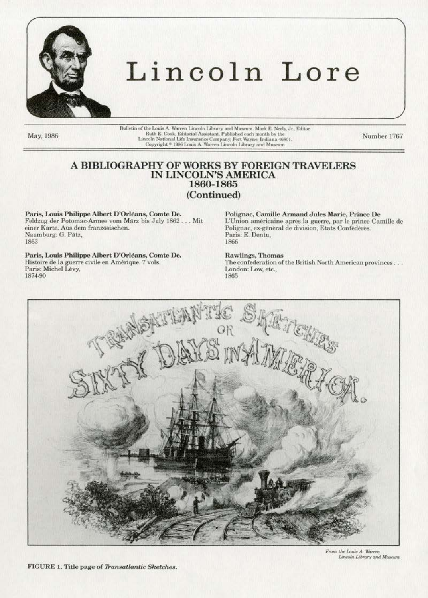

# Lincoln Lore

May, 1986

Bulletin of the Louis A. Warren Lincoln Library and Museum. Mark E. Neely, Jr., Editor Ruth E. Cook, Editorial Assistant. Published each month by the Lincoln National Life Insurance Company, Fort Wayne, Indiana 46801<br>Copyright \* 1986 Louis A. Warren Lincoln Library and Museum

Number 1767

## A BIBLIOGRAPHY OF WORKS BY FOREIGN TRAVELERS IN LINCOLN'S AMERICA 1860-1865 (Continued)

Paris, Louis Philippe Albert D'Orléans, Comte De. Feldzug der Potomac-Armee vom März bis July 1862... Mit einer Karte. Aus dem französischen. Naumburg: G. Pätz, 1863

Paris, Louis Philippe Albert D'Orléans, Comte De. Histoire de la guerre civile en Amérique. 7 vols. Paris: Michel Lévy, 1874-90

Polignac, Camille Armand Jules Marie, Prince De L'Union américaine après la guerre, par le prince Camille de Polignac, ex-général de division, Etats Confédérés. Paris: E. Dentu. 1866

#### Rawlings, Thomas

The confederation of the British North American provinces... London: Low, etc., 1865



From the Louis A. Warren Lincoln Library and Museum

FIGURE 1. Title page of Transatlantic Sketches.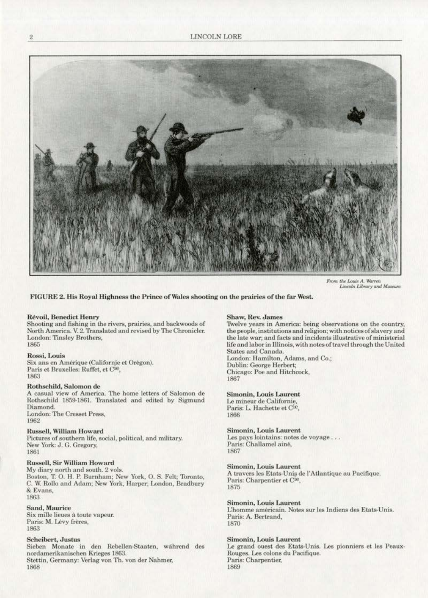

From the Louis A. Warren Lincoln Library and Museum

#### FIGURE 2. His Royal Highness the Prince of Wales shooting on the prairies of the far West.

#### **Révoil, Benedict Henry**

Shooting and fishing in the rivers, prairies, and backwoods of North America. V. 2. Translated and revised by The Chronicler. London: Tinsley Brothers. 1865

#### Rossi, Louis

Six ans en Amérique (Californie et Orégon). Paris et Bruxelles: Ruffet, et Cie, 1863

#### Rothschild, Salomon de

A casual view of America. The home letters of Salomon de Rothschild 1859-1861. Translated and edited by Sigmund Diamond. London: The Cresset Press, 1962

#### **Russell, William Howard**

Pictures of southern life, social, political, and military. New York: J. G. Gregory, 1861

#### **Russell, Sir William Howard**

My diary north and south. 2 vols. Boston, T. O. H. P. Burnham; New York, O. S. Felt; Toronto, C. W. Rollo and Adam; New York, Harper; London, Bradbury & Evans, 1863

#### Sand, Maurice

Six mille lieues à toute vapeur. Paris: M. Lévy frères, 1863

#### **Scheibert**, Justus

Sieben Monate in den Rebellen-Staaten, während des nordamerikanischen Krieges 1863. Stettin, Germany: Verlag von Th. von der Nahmer, 1868

#### Shaw, Rev. James

Twelve years in America: being observations on the country, the people, institutions and religion; with notices of slavery and the late war; and facts and incidents illustrative of ministerial life and labor in Illinois, with notes of travel through the United States and Canada. London: Hamilton, Adams, and Co.; Dublin: George Herbert; Chicago: Poe and Hitchcock,

1867

#### Simonin, Louis Laurent

Le mineur de Californie. Paris: L. Hachette et Cie, 1866

#### Simonin, Louis Laurent

Les pays lointains: notes de voyage... Paris: Challamel ainé, 1867

#### **Simonin, Louis Laurent**

A travers les Etats-Unis de l'Atlantique au Pacifique. Paris: Charpentier et Cie, 1875

#### Simonin, Louis Laurent

L'homme américain. Notes sur les Indiens des Etats-Unis. Paris: A. Bertrand, 1870

#### **Simonin, Louis Laurent**

Le grand ouest des Etats-Unis. Les pionniers et les Peaux-Rouges. Les colons du Pacifique. Paris: Charpentier, 1869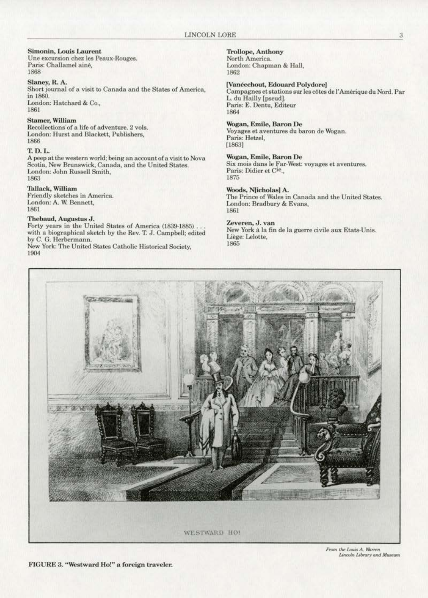#### Simonin, Louis Laurent

Une excursion chez les Peaux-Rouges. Paris: Challamel ainé, 1868

Slaney, R. A.

Short journal of a visit to Canada and the States of America, in 1860. London: Hatchard & Co., 1861

#### **Stamer, William**

Recollections of a life of adventure. 2 vols. London: Hurst and Blackett, Publishers, 1866

#### T. D. L.

A peep at the western world; being an account of a visit to Nova Scotia, New Brunswick, Canada, and the United States. London: John Russell Smith, 1863

#### Tallack, William

Friendly sketches in America. London: A. W. Bennett, 1861

#### Thebaud, Augustus J.

Forty years in the United States of America (1839-1885)... with a biographical sketch by the Rev. T. J. Campbell; edited by C. G. Herbermann.<br>New York: The United States Catholic Historical Society,

1904

**Trollope, Anthony** North America. London: Chapman & Hall, 1862

[Vanéechout, Edouard Polydore] Campagnes et stations sur les côtes de l'Amérique du Nord. Par L. du Hailly [pseud]. Paris: E. Dentu, Editeur 1864

#### Wogan, Emile, Baron De

Voyages et aventures du baron de Wogan. Paris: Hetzel,  $[1863]$ 

Wogan, Emile, Baron De Six mois dans le Far-West: voyages et aventures.<br>Paris: Didier et C<sup>ie</sup>., 1875

#### Woods, Njicholas] A.

The Prince of Wales in Canada and the United States. London: Bradbury & Evans, 1861

#### Zeveren, J. van

New York à la fin de la guerre civile aux Etats-Unis. Liège: Lelotte, 1865



From the Louis A. Warren Lincoln Library and Museum